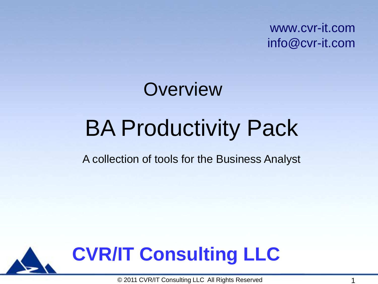www.cvr-it.com info@cvr-it.com

# BA Productivity Pack **Overview**

A collection of tools for the Business Analyst



© 2011 CVR/IT Consulting LLC All Rights Reserved 1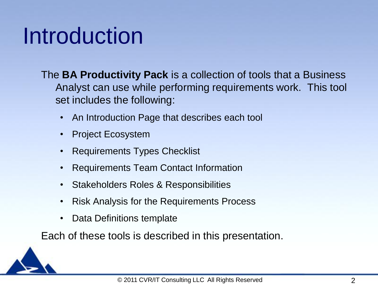## Introduction

The **BA Productivity Pack** is a collection of tools that a Business Analyst can use while performing requirements work. This tool set includes the following:

- An Introduction Page that describes each tool
- Project Ecosystem
- Requirements Types Checklist
- Requirements Team Contact Information
- Stakeholders Roles & Responsibilities
- Risk Analysis for the Requirements Process
- Data Definitions template

Each of these tools is described in this presentation.

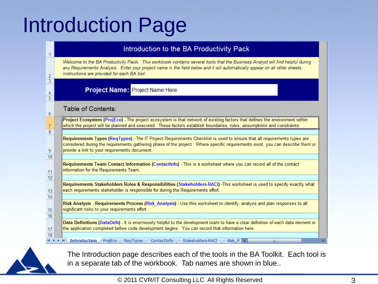### Introduction Page

|                        | Introduction to the BA Productivity Pack                                                                                                                                                                                                                                                                   |
|------------------------|------------------------------------------------------------------------------------------------------------------------------------------------------------------------------------------------------------------------------------------------------------------------------------------------------------|
| 2                      | Welcome to the BA Productivity Pack. This workbook contains several tools that the Business Analyst will find helpful during<br>any Requirements Analysis. Enter your project name in the field below and it will automatically appear on all other sheets.<br>Instructions are provided for each BA tool. |
| 3<br>4<br>5            | <b>Project Name: Project Name Here</b>                                                                                                                                                                                                                                                                     |
| 6                      | Table of Contents:                                                                                                                                                                                                                                                                                         |
| 8                      | Project Ecosystem (ProjEco) - The project ecosystem is that network of existing factors that defines the environment within<br>which the project will be planned and executed. These factors establish boundaries, rules, assumptions and constraints                                                      |
| 9                      | Requirements Types (ReqTypes) - The IT Project Requirements Checklist is used to ensure that all requirements types are<br>considered during the requirements gathering phase of the project. Where specific requirements exist, you can describe them or<br>provide a link to your requirements document. |
| 10 <sup>10</sup><br>11 | Requirements Team Contact Information (ContactInfo) - This is a worksheet where you can record all of the contact<br>information for the Requirements Team.                                                                                                                                                |
| 12<br>13               | Requirements Stakeholders Roles & Responsibilities (Stakeholders-RACI) -This worksheet is used to specify exactly what<br>each requirements stakeholder is responsible for during the Requirements effort.                                                                                                 |
| 14<br>15<br>16         | Risk Analysis - Requirements Process (Risk_Analysis) - Use this worksheet to identify, analyze and plan responses to all<br>significant risks to your requirements effort.                                                                                                                                 |
| 17<br>18               | Data Definitions (DataDefs) - It is enormously helpful to the development team to have a clear definition of each data element in<br>the application completed before code development begins. You can record that information here.                                                                       |
|                        | Stakeholders-RACI<br>$H \leftarrow H$ Introduction<br>ProjEco<br>ContactInfo<br>Risk Al<br><b>RegTypes</b><br>Ш                                                                                                                                                                                            |



The Introduction page describes each of the tools in the BA Toolkit. Each tool is in a separate tab of the workbook. Tab names are shown in blue..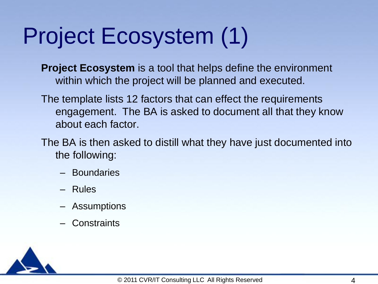## Project Ecosystem (1)

**Project Ecosystem** is a tool that helps define the environment within which the project will be planned and executed.

The template lists 12 factors that can effect the requirements engagement. The BA is asked to document all that they know about each factor.

The BA is then asked to distill what they have just documented into the following:

- Boundaries
- Rules
- Assumptions
- Constraints

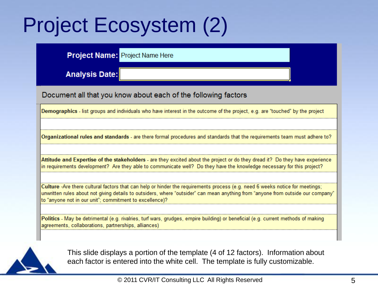## Project Ecosystem (2)

#### **Project Name:** Project Name Here

**Analysis Date:** 

Document all that you know about each of the following factors

Demographics - list groups and individuals who have interest in the outcome of the project, e.g. are "touched" by the project

Organizational rules and standards - are there formal procedures and standards that the requirements team must adhere to?

Attitude and Expertise of the stakeholders - are they excited about the project or do they dread it? Do they have experience in requirements development? Are they able to communicate well? Do they have the knowledge necessary for this project?

Culture -Are there cultural factors that can help or hinder the requirements process (e.g. need 6 weeks notice for meetings; unwritten rules about not giving details to outsiders, where "outsider" can mean anything from "anyone from outside our company" to "anyone not in our unit"; commitment to excellence)?

Politics - May be detrimental (e.g. rivalries, turf wars, grudges, empire building) or beneficial (e.g. current methods of making agreements, collaborations, partnerships, alliances)



This slide displays a portion of the template (4 of 12 factors). Information about each factor is entered into the white cell. The template is fully customizable.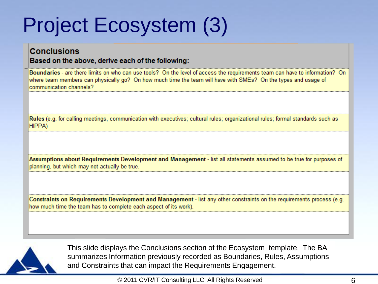## Project Ecosystem (3)

#### **Conclusions**

#### Based on the above, derive each of the following:

Boundaries - are there limits on who can use tools? On the level of access the requirements team can have to information? On where team members can physically go? On how much time the team will have with SMEs? On the types and usage of communication channels?

Rules (e.g. for calling meetings, communication with executives; cultural rules; organizational rules; formal standards such as HIPPA)

Assumptions about Requirements Development and Management - list all statements assumed to be true for purposes of planning, but which may not actually be true.

Constraints on Requirements Development and Management - list any other constraints on the requirements process (e.g. how much time the team has to complete each aspect of its work).



This slide displays the Conclusions section of the Ecosystem template. The BA summarizes Information previously recorded as Boundaries, Rules, Assumptions and Constraints that can impact the Requirements Engagement.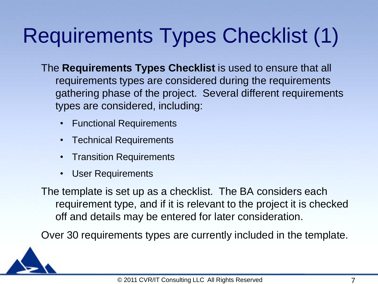## Requirements Types Checklist (1)

The **Requirements Types Checklist** is used to ensure that all requirements types are considered during the requirements gathering phase of the project. Several different requirements types are considered, including:

- Functional Requirements
- Technical Requirements
- Transition Requirements
- User Requirements

The template is set up as a checklist. The BA considers each requirement type, and if it is relevant to the project it is checked off and details may be entered for later consideration.

Over 30 requirements types are currently included in the template.

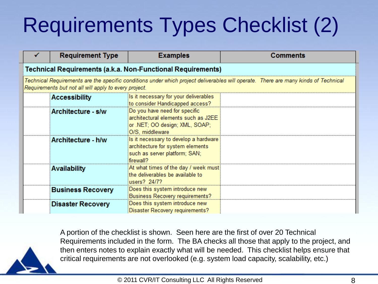## Requirements Types Checklist (2)

|                                                             | <b>Requirement Type</b>                               | <b>Examples</b>                                                                                                           | <b>Comments</b>                                                                                                                     |  |  |  |  |  |  |  |
|-------------------------------------------------------------|-------------------------------------------------------|---------------------------------------------------------------------------------------------------------------------------|-------------------------------------------------------------------------------------------------------------------------------------|--|--|--|--|--|--|--|
| Technical Requirements (a.k.a. Non-Functional Requirements) |                                                       |                                                                                                                           |                                                                                                                                     |  |  |  |  |  |  |  |
|                                                             | Requirements but not all will apply to every project. |                                                                                                                           | Technical Requirements are the specific conditions under which project deliverables will operate. There are many kinds of Technical |  |  |  |  |  |  |  |
|                                                             | <b>Accessibility</b>                                  | Is it necessary for your deliverables<br>to consider Handicapped access?                                                  |                                                                                                                                     |  |  |  |  |  |  |  |
|                                                             | Architecture - s/w                                    | Do you have need for specific<br>architectural elements such as J2EE<br>or .NET; OO design; XML, SOAP;<br>O/S, middleware |                                                                                                                                     |  |  |  |  |  |  |  |
|                                                             | Architecture - h/w                                    | Is it necessary to develop a hardware<br>architecture for system elements<br>such as server platform; SAN;<br>firewall?   |                                                                                                                                     |  |  |  |  |  |  |  |
|                                                             | <b>Availability</b>                                   | At what times of the day / week must<br>the deliverables be available to:<br>users? 24/7?                                 |                                                                                                                                     |  |  |  |  |  |  |  |
|                                                             | <b>Business Recovery</b>                              | Does this system introduce new<br>Business Recovery requirements?                                                         |                                                                                                                                     |  |  |  |  |  |  |  |
|                                                             | <b>Disaster Recovery</b>                              | Does this system introduce new<br>Disaster Recovery requirements?                                                         |                                                                                                                                     |  |  |  |  |  |  |  |



A portion of the checklist is shown. Seen here are the first of over 20 Technical Requirements included in the form. The BA checks all those that apply to the project, and then enters notes to explain exactly what will be needed. This checklist helps ensure that critical requirements are not overlooked (e.g. system load capacity, scalability, etc.)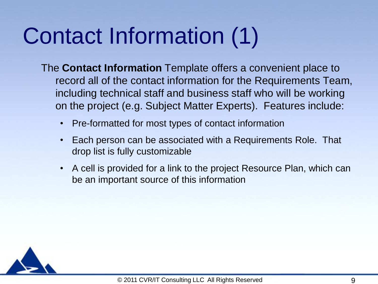## Contact Information (1)

- The **Contact Information** Template offers a convenient place to record all of the contact information for the Requirements Team, including technical staff and business staff who will be working on the project (e.g. Subject Matter Experts). Features include:
	- Pre-formatted for most types of contact information
	- Each person can be associated with a Requirements Role. That drop list is fully customizable
	- A cell is provided for a link to the project Resource Plan, which can be an important source of this information

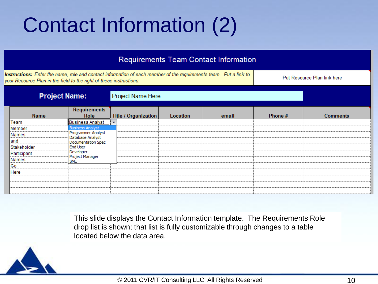## Contact Information (2)

| Requirements Team Contact Information                                                                                                                                                    |                                        |  |                             |          |       |         |                             |  |  |  |  |
|------------------------------------------------------------------------------------------------------------------------------------------------------------------------------------------|----------------------------------------|--|-----------------------------|----------|-------|---------|-----------------------------|--|--|--|--|
| Instructions: Enter the name, role and contact information of each member of the requirements team. Put a link to<br>your Resource Plan in the field to the right of these instructions. |                                        |  |                             |          |       |         | Put Resource Plan link here |  |  |  |  |
| <b>Project Name:</b>                                                                                                                                                                     |                                        |  | Project Name Here           |          |       |         |                             |  |  |  |  |
| <b>Name</b>                                                                                                                                                                              | <b>Requirements</b><br><b>Role</b>     |  | <b>Title / Organization</b> | Location | email | Phone # | <b>Comments</b>             |  |  |  |  |
| Team                                                                                                                                                                                     | Business Analyst                       |  |                             |          |       |         |                             |  |  |  |  |
| lMember                                                                                                                                                                                  | <b>Business Analyst</b>                |  |                             |          |       |         |                             |  |  |  |  |
| INames                                                                                                                                                                                   | Programmer Analyst<br>Database Analyst |  |                             |          |       |         |                             |  |  |  |  |
| land                                                                                                                                                                                     | Documentation Spec                     |  |                             |          |       |         |                             |  |  |  |  |
| Stakeholder                                                                                                                                                                              | <b>End User</b>                        |  |                             |          |       |         |                             |  |  |  |  |
| Participant                                                                                                                                                                              | Developer                              |  |                             |          |       |         |                             |  |  |  |  |
| Names                                                                                                                                                                                    | Project Manager<br><b>SMF</b>          |  |                             |          |       |         |                             |  |  |  |  |

This slide displays the Contact Information template. The Requirements Role drop list is shown; that list is fully customizable through changes to a table located below the data area.



Go Here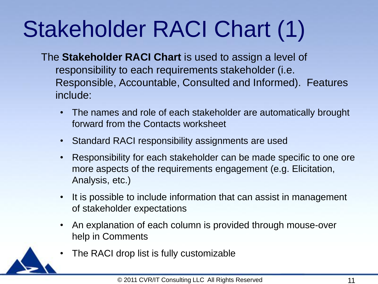## Stakeholder RACI Chart (1)

- The **Stakeholder RACI Chart** is used to assign a level of responsibility to each requirements stakeholder (i.e. Responsible, Accountable, Consulted and Informed). Features include:
	- The names and role of each stakeholder are automatically brought forward from the Contacts worksheet
	- Standard RACI responsibility assignments are used
	- Responsibility for each stakeholder can be made specific to one ore more aspects of the requirements engagement (e.g. Elicitation, Analysis, etc.)
	- It is possible to include information that can assist in management of stakeholder expectations
	- An explanation of each column is provided through mouse-over help in Comments
	- The RACI drop list is fully customizable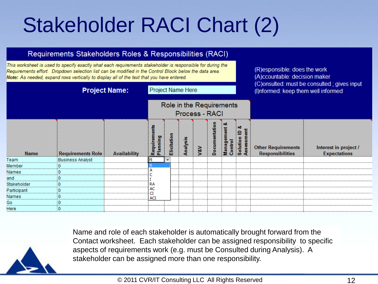## Stakeholder RACI Chart (2)

#### Requirements Stakeholders Roles & Responsibilities (RACI)

This worksheet is used to specify exactly what each requirements stakeholder is responsible for during the Requirements effort. Dropdown selection list can be modified in the Control Block below the data area. Note: As needed, expand rows vertically to display all of the text that you have entered.

|              | Project Name Here        |                                            |                               |                 |          |     |               | (C)onsulted: must be consulted ; gives input<br>(I)nformed: keep them well informed |         |                                                      |                                              |  |
|--------------|--------------------------|--------------------------------------------|-------------------------------|-----------------|----------|-----|---------------|-------------------------------------------------------------------------------------|---------|------------------------------------------------------|----------------------------------------------|--|
|              |                          | Role in the Requirements<br>Process - RACI |                               |                 |          |     |               |                                                                                     |         |                                                      |                                              |  |
| Name         | <b>Requirements Role</b> | <b>Availability</b>                        | ents<br>Requireme<br>Planning | 등<br>Elicitatio | Analysis | V&V | Documentation | ಂಕ<br>Managem<br>Control<br>Solution<br>Assessm                                     | ۰ö<br>≘ | <b>Other Requirements</b><br><b>Responsibilities</b> | Interest in project /<br><b>Expectations</b> |  |
| Team         | <b>Business Analyst</b>  |                                            | R                             |                 |          |     |               |                                                                                     |         |                                                      |                                              |  |
| Member       |                          |                                            |                               |                 |          |     |               |                                                                                     |         |                                                      |                                              |  |
| <b>Names</b> | $\bf{0}$                 |                                            |                               |                 |          |     |               |                                                                                     |         |                                                      |                                              |  |
| and          |                          |                                            |                               |                 |          |     |               |                                                                                     |         |                                                      |                                              |  |
| Stakeholder  |                          |                                            | RA                            |                 |          |     |               |                                                                                     |         |                                                      |                                              |  |
| Participant  | $\bf{0}$                 |                                            | AC<br>CI                      |                 |          |     |               |                                                                                     |         |                                                      |                                              |  |
| Names        |                          |                                            | <b>ACI</b>                    |                 |          |     |               |                                                                                     |         |                                                      |                                              |  |
| Go           |                          |                                            |                               |                 |          |     |               |                                                                                     |         |                                                      |                                              |  |
| Here         | $\Omega$                 |                                            |                               |                 |          |     |               |                                                                                     |         |                                                      |                                              |  |



Name and role of each stakeholder is automatically brought forward from the Contact worksheet. Each stakeholder can be assigned responsibility to specific aspects of requirements work (e.g. must be Consulted during Analysis). A stakeholder can be assigned more than one responsibility.

(R)esponsible: does the work

(A)ccountable: decision maker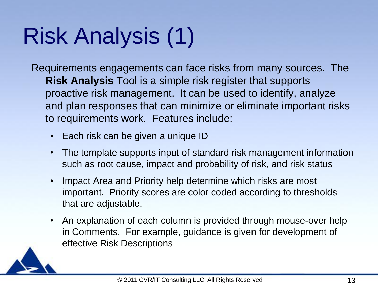## Risk Analysis (1)

Requirements engagements can face risks from many sources. The **Risk Analysis** Tool is a simple risk register that supports proactive risk management. It can be used to identify, analyze and plan responses that can minimize or eliminate important risks to requirements work. Features include:

- Each risk can be given a unique ID
- The template supports input of standard risk management information such as root cause, impact and probability of risk, and risk status
- Impact Area and Priority help determine which risks are most important. Priority scores are color coded according to thresholds that are adjustable.
- An explanation of each column is provided through mouse-over help in Comments. For example, guidance is given for development of effective Risk Descriptions

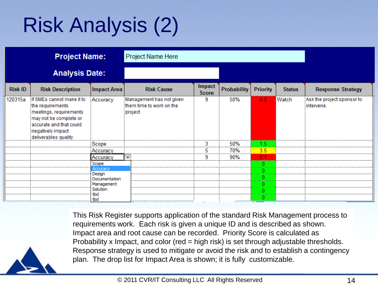## Risk Analysis (2)

|                | <b>Project Name:</b>                                                                                                                                                      |                                                                             | Project Name Here                                               |                        |                    |                       |               |                                          |
|----------------|---------------------------------------------------------------------------------------------------------------------------------------------------------------------------|-----------------------------------------------------------------------------|-----------------------------------------------------------------|------------------------|--------------------|-----------------------|---------------|------------------------------------------|
|                | <b>Analysis Date:</b>                                                                                                                                                     |                                                                             |                                                                 |                        |                    |                       |               |                                          |
| <b>Risk ID</b> | <b>Risk Description</b><br><b>Impact Area</b>                                                                                                                             |                                                                             | <b>Risk Cause</b>                                               | Impact<br><b>Score</b> | <b>Probability</b> | <b>Priority</b>       | <b>Status</b> | <b>Response Strategy</b>                 |
| 120315a        | If SMEs cannot make it to<br>the requirements<br>meetings, requirements<br>may not be complete or<br>accurate and that could<br>negatively impact<br>deliverables quality | Accuracy                                                                    | Management has not given<br>them time to work on the<br>project | 9                      | 50%                | 4.5                   | Watch         | Ask the project sponsor to<br>intervene. |
|                |                                                                                                                                                                           | Scope                                                                       |                                                                 | 3                      | 50%                | 1.5                   |               |                                          |
|                |                                                                                                                                                                           | Accuracy                                                                    |                                                                 | 5                      | 70%                | 3.5                   |               |                                          |
|                |                                                                                                                                                                           | Accuracy                                                                    | l –                                                             | 9                      | 90%                | 8.1                   |               |                                          |
|                |                                                                                                                                                                           | Scope                                                                       |                                                                 |                        |                    | 0.                    |               |                                          |
|                |                                                                                                                                                                           | Accuracy<br>Design<br>Documentation<br>Management<br>Solution<br>tbd<br>tbd |                                                                 |                        |                    | 0<br>0<br>0<br>0<br>0 |               |                                          |

This Risk Register supports application of the standard Risk Management process to requirements work. Each risk is given a unique ID and is described as shown. Impact area and root cause can be recorded. Priority Score is calculated as Probability x Impact, and color (red = high risk) is set through adjustable thresholds. Response strategy is used to mitigate or avoid the risk and to establish a contingency plan. The drop list for Impact Area is shown; it is fully customizable.

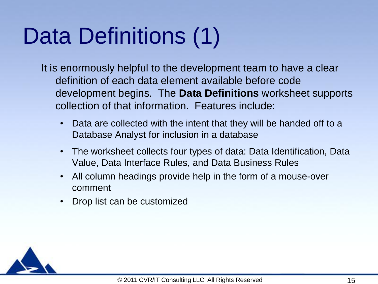## Data Definitions (1)

It is enormously helpful to the development team to have a clear definition of each data element available before code development begins. The **Data Definitions** worksheet supports collection of that information. Features include:

- Data are collected with the intent that they will be handed off to a Database Analyst for inclusion in a database
- The worksheet collects four types of data: Data Identification, Data Value, Data Interface Rules, and Data Business Rules
- All column headings provide help in the form of a mouse-over comment
- Drop list can be customized

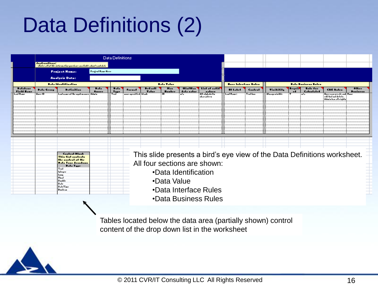## Data Definitions (2)

|                               |                                                                                                                                                                                                                                                                                                                                                                                                             | Data Definitions                                                |                          |                     |                       |                          |                           |                            |                                                              |                |                             |                   |                       |                               |                                                                                  |                            |
|-------------------------------|-------------------------------------------------------------------------------------------------------------------------------------------------------------------------------------------------------------------------------------------------------------------------------------------------------------------------------------------------------------------------------------------------------------|-----------------------------------------------------------------|--------------------------|---------------------|-----------------------|--------------------------|---------------------------|----------------------------|--------------------------------------------------------------|----------------|-----------------------------|-------------------|-----------------------|-------------------------------|----------------------------------------------------------------------------------|----------------------------|
|                               | keskesskisset                                                                                                                                                                                                                                                                                                                                                                                               | . External at the internation goe have analished dood rach hala |                          |                     |                       |                          |                           |                            |                                                              |                |                             |                   |                       |                               |                                                                                  |                            |
|                               |                                                                                                                                                                                                                                                                                                                                                                                                             | <b>Penjent Hame Heer</b><br><b>Project Home:</b>                |                          |                     |                       |                          |                           |                            |                                                              |                |                             |                   |                       |                               |                                                                                  |                            |
|                               | <b>Analyzir Date:</b>                                                                                                                                                                                                                                                                                                                                                                                       |                                                                 |                          |                     |                       |                          |                           |                            |                                                              |                |                             |                   |                       |                               |                                                                                  |                            |
|                               |                                                                                                                                                                                                                                                                                                                                                                                                             | <b>Dala Identification</b>                                      |                          |                     |                       | <b>Pala Taler</b>        |                           |                            |                                                              |                | <b>Bore Interface Roles</b> |                   |                       | <b>Dala Denissus Roles</b>    |                                                                                  |                            |
| <b>Balakans</b><br>Field Hans | <b>Bala Group</b>                                                                                                                                                                                                                                                                                                                                                                                           | <b>Definition</b>                                               | <b>Bala</b><br>$+ - - -$ | <b>Bala</b><br>Tape | <b>Farmal</b>         | D. f. 11<br><b>Taler</b> | $H_{AB}$<br><b>Banker</b> | <b>Hi./H</b><br>dala salar | tial of astid<br>-----                                       | <b>BIL-L-I</b> | Caulcul                     | <b>Tilikilile</b> | <b>Experts</b><br>-41 | <b>Role for</b><br>Calculated | <b>CEE Enlist</b>                                                                | $+$ IL<br><b>D</b> uninen, |
| مسط استا                      | U. 10                                                                                                                                                                                                                                                                                                                                                                                                       | Laut name of the updem more: Admin-                             |                          | $T_{rel}$           | anne openified: klank |                          | : 2 F                     | i ad a                     | All alphabelin<br>skarasters                                 | Laul Hauset    | $T_{ref}$ has               | Alvan ricikle     |                       | t e du                        | Uneensan needle and: House<br>edil hal ant detete.<br>Administration of Leighter |                            |
|                               |                                                                                                                                                                                                                                                                                                                                                                                                             |                                                                 |                          |                     |                       |                          |                           |                            |                                                              |                |                             |                   |                       |                               |                                                                                  |                            |
|                               |                                                                                                                                                                                                                                                                                                                                                                                                             |                                                                 |                          |                     |                       |                          |                           |                            |                                                              |                |                             |                   |                       |                               |                                                                                  |                            |
|                               |                                                                                                                                                                                                                                                                                                                                                                                                             |                                                                 |                          |                     |                       |                          |                           |                            |                                                              |                |                             |                   |                       |                               |                                                                                  |                            |
|                               |                                                                                                                                                                                                                                                                                                                                                                                                             |                                                                 |                          |                     |                       |                          |                           |                            |                                                              |                |                             |                   |                       |                               |                                                                                  |                            |
|                               |                                                                                                                                                                                                                                                                                                                                                                                                             |                                                                 |                          |                     |                       |                          |                           |                            |                                                              |                |                             |                   |                       |                               |                                                                                  |                            |
|                               |                                                                                                                                                                                                                                                                                                                                                                                                             |                                                                 |                          |                     |                       |                          |                           |                            |                                                              |                |                             |                   |                       |                               |                                                                                  |                            |
|                               | This slide presents a bird's eye view of the Data Definitions worksheet.<br><b>Control Monk</b><br>This list sectests<br>the soutest of the<br>All four sections are shown:<br><b>Bala Tour drondoms</b><br><b>Pala Tear</b><br>Tral<br>•Data Identification<br>Integer<br>$L_{\text{max}}$<br><b>Flood</b><br>•Data Value<br>Daskie<br>Dule.<br><b>DuleTime</b><br>•Data Interface Rules<br><b>Pooless</b> |                                                                 |                          |                     |                       |                          |                           |                            |                                                              |                |                             |                   |                       |                               |                                                                                  |                            |
|                               |                                                                                                                                                                                                                                                                                                                                                                                                             |                                                                 |                          |                     |                       |                          |                           |                            | •Data Business Rules                                         |                |                             |                   |                       |                               |                                                                                  |                            |
|                               |                                                                                                                                                                                                                                                                                                                                                                                                             |                                                                 |                          |                     |                       |                          |                           |                            | Tables located below the data area (partially shown) control |                |                             |                   |                       |                               |                                                                                  |                            |

content of the drop down list in the worksheet

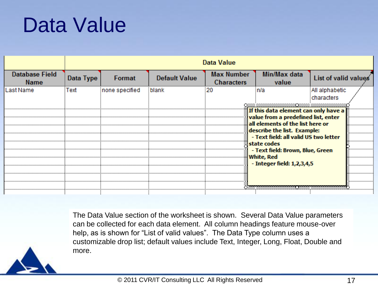### Data Value

|                                      |           | <b>Data Value</b> |                      |                                        |                                                                                                          |                              |  |  |  |  |  |  |  |  |
|--------------------------------------|-----------|-------------------|----------------------|----------------------------------------|----------------------------------------------------------------------------------------------------------|------------------------------|--|--|--|--|--|--|--|--|
| <b>Database Field</b><br><b>Name</b> | Data Type | Format            | <b>Default Value</b> | <b>Max Number</b><br><b>Characters</b> | Min/Max data<br>value                                                                                    | List of valid values         |  |  |  |  |  |  |  |  |
| Last Name                            | Text      | none specified    | blank                | 20                                     | n/a                                                                                                      | All alphabetic<br>characters |  |  |  |  |  |  |  |  |
|                                      |           |                   |                      |                                        | If this data element can only have a<br>value from a predefined list, enter                              |                              |  |  |  |  |  |  |  |  |
|                                      |           |                   |                      |                                        | all elements of the list here or<br>describe the list. Example:<br>- Text field: all valid US two letter |                              |  |  |  |  |  |  |  |  |
|                                      |           |                   |                      |                                        | state codes<br>- Text field: Brown, Blue, Green<br><b>White, Red</b>                                     |                              |  |  |  |  |  |  |  |  |
|                                      |           |                   |                      |                                        | - Integer field: 1,2,3,4,5                                                                               |                              |  |  |  |  |  |  |  |  |
|                                      |           |                   |                      |                                        |                                                                                                          |                              |  |  |  |  |  |  |  |  |

The Data Value section of the worksheet is shown. Several Data Value parameters can be collected for each data element. All column headings feature mouse-over help, as is shown for "List of valid values". The Data Type column uses a customizable drop list; default values include Text, Integer, Long, Float, Double and more.

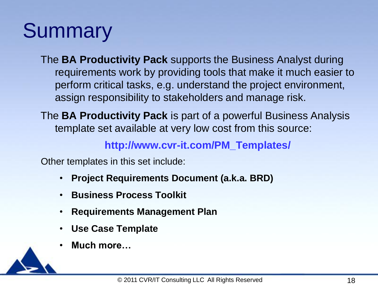### **Summary**

The **BA Productivity Pack** supports the Business Analyst during requirements work by providing tools that make it much easier to perform critical tasks, e.g. understand the project environment, assign responsibility to stakeholders and manage risk.

The **BA Productivity Pack** is part of a powerful Business Analysis template set available at very low cost from this source:

**http://www.cvr-it.com/PM\_Templates/**

Other templates in this set include:

- **Project Requirements Document (a.k.a. BRD)**
- **Business Process Toolkit**
- **Requirements Management Plan**
- **Use Case Template**
- **Much more…**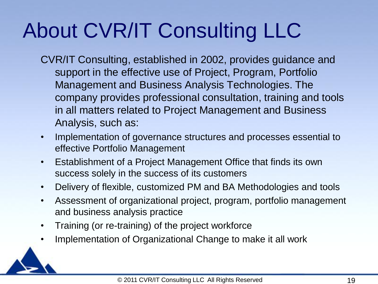## About CVR/IT Consulting LLC

- CVR/IT Consulting, established in 2002, provides guidance and support in the effective use of Project, Program, Portfolio Management and Business Analysis Technologies. The company provides professional consultation, training and tools in all matters related to Project Management and Business Analysis, such as:
- Implementation of governance structures and processes essential to effective Portfolio Management
- Establishment of a Project Management Office that finds its own success solely in the success of its customers
- Delivery of flexible, customized PM and BA Methodologies and tools
- Assessment of organizational project, program, portfolio management and business analysis practice
- Training (or re-training) of the project workforce
- Implementation of Organizational Change to make it all work